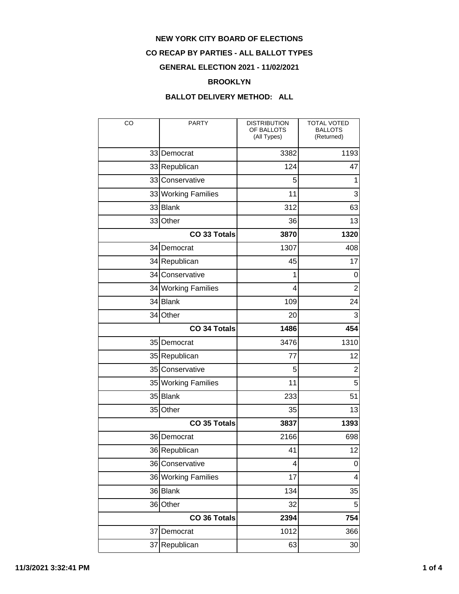### **CO RECAP BY PARTIES - ALL BALLOT TYPES**

## **GENERAL ELECTION 2021 - 11/02/2021**

#### **BROOKLYN**

| CO           | <b>PARTY</b>        | <b>DISTRIBUTION</b><br>OF BALLOTS<br>(All Types) | <b>TOTAL VOTED</b><br><b>BALLOTS</b><br>(Returned) |
|--------------|---------------------|--------------------------------------------------|----------------------------------------------------|
|              | 33 Democrat         | 3382                                             | 1193                                               |
|              | 33 Republican       | 124                                              | 47                                                 |
|              | 33 Conservative     | 5                                                | 1                                                  |
|              | 33 Working Families | 11                                               | 3                                                  |
|              | 33 Blank            | 312                                              | 63                                                 |
|              | 33 Other            | 36                                               | 13                                                 |
|              | CO 33 Totals        | 3870                                             | 1320                                               |
|              | 34 Democrat         | 1307                                             | 408                                                |
|              | 34 Republican       | 45                                               | 17                                                 |
|              | 34 Conservative     | 1                                                | 0                                                  |
|              | 34 Working Families | 4                                                | $\overline{2}$                                     |
|              | 34 Blank            | 109                                              | 24                                                 |
| 34           | Other               | 20                                               | 3                                                  |
|              | <b>CO 34 Totals</b> | 1486                                             | 454                                                |
|              | 35 Democrat         | 3476                                             | 1310                                               |
|              | 35 Republican       | 77                                               | 12                                                 |
|              | 35 Conservative     | 5                                                | $\overline{2}$                                     |
|              | 35 Working Families | 11                                               | 5                                                  |
|              | 35 Blank            | 233                                              | 51                                                 |
| 35           | Other               | 35                                               | 13                                                 |
|              | <b>CO 35 Totals</b> | 3837                                             | 1393                                               |
|              | 36 Democrat         | 2166                                             | 698                                                |
|              | 36 Republican       | 41                                               | 12                                                 |
|              | 36 Conservative     | 4                                                | 0                                                  |
|              | 36 Working Families | 17                                               | 4                                                  |
|              | $36$ Blank          | 134                                              | 35                                                 |
|              | 36 Other            | 32                                               | 5                                                  |
| CO 36 Totals |                     | 2394                                             | 754                                                |
|              | 37 Democrat         | 1012                                             | 366                                                |
|              | 37 Republican       | 63                                               | 30 <sup>2</sup>                                    |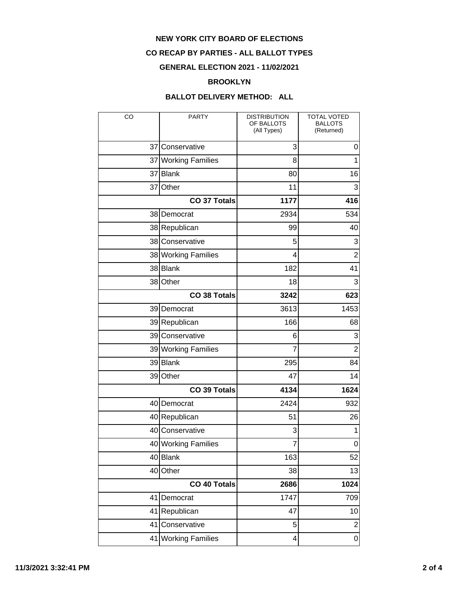## **CO RECAP BY PARTIES - ALL BALLOT TYPES**

## **GENERAL ELECTION 2021 - 11/02/2021**

#### **BROOKLYN**

| CO                  | <b>PARTY</b>            | <b>DISTRIBUTION</b><br>OF BALLOTS<br>(All Types) | <b>TOTAL VOTED</b><br><b>BALLOTS</b><br>(Returned) |
|---------------------|-------------------------|--------------------------------------------------|----------------------------------------------------|
|                     | 37 Conservative         | 3                                                | 0                                                  |
|                     | 37 Working Families     | 8                                                | $\overline{1}$                                     |
|                     | 37 Blank                | 80                                               | 16                                                 |
| 37                  | Other                   | 11                                               | 3                                                  |
| <b>CO 37 Totals</b> |                         | 1177                                             | 416                                                |
|                     | 38 Democrat             | 2934                                             | 534                                                |
|                     | 38 Republican           | 99                                               | 40                                                 |
|                     | 38 Conservative         | 5                                                | 3                                                  |
|                     | 38 Working Families     | 4                                                | $\overline{2}$                                     |
|                     | 38 Blank                | 182                                              | 41                                                 |
|                     | 38 Other                | 18                                               | 3                                                  |
|                     | <b>CO 38 Totals</b>     | 3242                                             | 623                                                |
|                     | 39 Democrat             | 3613                                             | 1453                                               |
|                     | 39 Republican           | 166                                              | 68                                                 |
|                     | 39 Conservative         | 6                                                | 3                                                  |
|                     | 39 Working Families     | $\overline{7}$                                   | $\overline{2}$                                     |
|                     | 39 Blank                | 295                                              | 84                                                 |
|                     | 39 Other                | 47                                               | 14                                                 |
| CO 39 Totals        |                         | 4134                                             | 1624                                               |
|                     | 40 Democrat             | 2424                                             | 932                                                |
|                     | 40 Republican           | 51                                               | 26                                                 |
|                     | 40 Conservative         | 3                                                | 1                                                  |
|                     | 40 Working Families     | $\overline{7}$                                   | 0                                                  |
|                     | 40 Blank                | 163                                              | 52                                                 |
|                     | 40 Other                | 38                                               | 13                                                 |
| CO 40 Totals        |                         | 2686                                             | 1024                                               |
| 41                  | Democrat                | 1747                                             | 709                                                |
| 41                  | Republican              | 47                                               | 10                                                 |
| 41                  | Conservative            | 5                                                | $\mathbf{2}$                                       |
| 41                  | <b>Working Families</b> | 4                                                | $\overline{0}$                                     |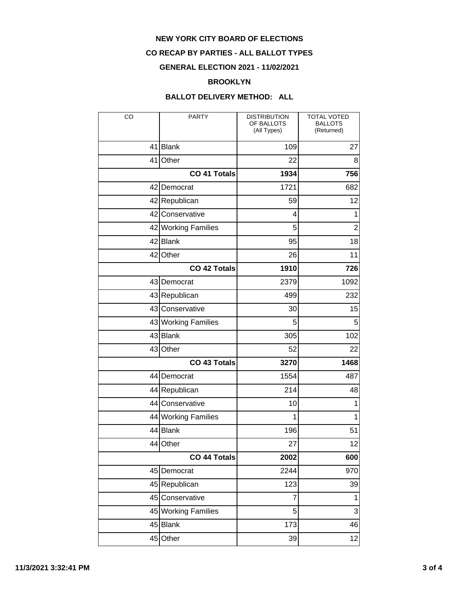### **CO RECAP BY PARTIES - ALL BALLOT TYPES**

## **GENERAL ELECTION 2021 - 11/02/2021**

#### **BROOKLYN**

| CO                  | <b>PARTY</b>        | <b>DISTRIBUTION</b><br>OF BALLOTS<br>(All Types) | <b>TOTAL VOTED</b><br><b>BALLOTS</b><br>(Returned) |
|---------------------|---------------------|--------------------------------------------------|----------------------------------------------------|
|                     | 41 Blank            | 109                                              | 27                                                 |
| 41                  | Other               | 22                                               | 8                                                  |
|                     | CO 41 Totals        | 1934                                             | 756                                                |
|                     | 42 Democrat         | 1721                                             | 682                                                |
|                     | 42 Republican       | 59                                               | 12                                                 |
|                     | 42 Conservative     | 4                                                | 1                                                  |
|                     | 42 Working Families | 5                                                | $\overline{2}$                                     |
|                     | 42 Blank            | 95                                               | 18                                                 |
| 42                  | Other               | 26                                               | 11                                                 |
|                     | <b>CO 42 Totals</b> | 1910                                             | 726                                                |
|                     | 43 Democrat         | 2379                                             | 1092                                               |
|                     | 43 Republican       | 499                                              | 232                                                |
|                     | 43 Conservative     | 30                                               | 15                                                 |
|                     | 43 Working Families | 5                                                | 5                                                  |
|                     | 43 Blank            | 305                                              | 102                                                |
|                     | 43 Other            | 52                                               | 22                                                 |
| <b>CO 43 Totals</b> |                     | 3270                                             | 1468                                               |
|                     | 44 Democrat         | 1554                                             | 487                                                |
|                     | 44 Republican       | 214                                              | 48                                                 |
|                     | 44 Conservative     | 10                                               | 1                                                  |
|                     | 44 Working Families | 1                                                | 1                                                  |
|                     | 44 Blank            | 196                                              | 51                                                 |
| 44                  | Other               | 27                                               | 12                                                 |
| CO 44 Totals        |                     | 2002                                             | 600                                                |
|                     | 45 Democrat         | 2244                                             | 970                                                |
|                     | 45 Republican       | 123                                              | 39                                                 |
|                     | 45 Conservative     | 7                                                | $\mathbf{1}$                                       |
|                     | 45 Working Families | 5                                                | $\overline{3}$                                     |
|                     | 45 Blank            | 173                                              | 46                                                 |
|                     | 45 Other            | 39                                               | 12                                                 |